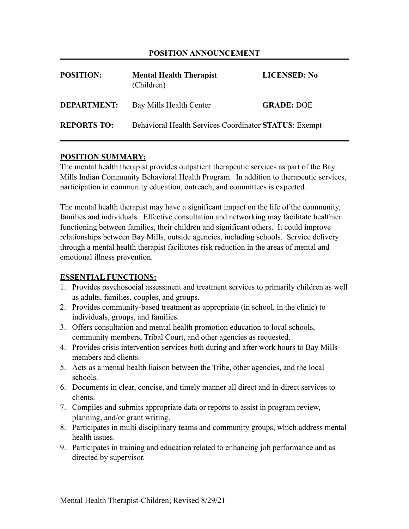### **POSITION ANNOUNCEMENT**

| <b>POSITION:</b>   | <b>Mental Health Therapist</b><br>(Children)          | <b>LICENSED: No</b> |
|--------------------|-------------------------------------------------------|---------------------|
| <b>DEPARTMENT:</b> | Bay Mills Health Center                               | <b>GRADE: DOE</b>   |
| <b>REPORTS TO:</b> | Behavioral Health Services Coordinator STATUS: Exempt |                     |

### **POSITION SUMMARY:**

The mental health therapist provides outpatient therapeutic services as part of the Bay Mills Indian Community Behavioral Health Program. In addition to therapeutic services, participation in community education, outreach, and committees is expected.

The mental health therapist may have a significant impact on the life of the community, families and individuals. Effective consultation and networking may facilitate healthier functioning between families, their children and significant others. It could improve relationships between Bay Mills, outside agencies, including schools. Service delivery through a mental health therapist facilitates risk reduction in the areas of mental and emotional illness prevention.

### **ESSENTIAL FUNCTIONS:**

- 1. Provides psychosocial assessment and treatment services to primarily children as well as adults, families, couples, and groups.
- 2. Provides community-based treatment as appropriate (in school, in the clinic) to individuals, groups, and families.
- 3. Offers consultation and mental health promotion education to local schools, community members, Tribal Court, and other agencies as requested.
- 4. Provides crisis intervention services both during and after work hours to Bay Mills members and clients.
- 5. Acts as a mental health liaison between the Tribe, other agencies, and the local schools.
- 6. Documents in clear, concise, and timely manner all direct and in-direct services to clients.
- 7. Compiles and submits appropriate data or reports to assist in program review, planning, and/or grant writing.
- 8. Participates in multi disciplinary teams and community groups, which address mental health issues.
- 9. Participates in training and education related to enhancing job performance and as directed by supervisor.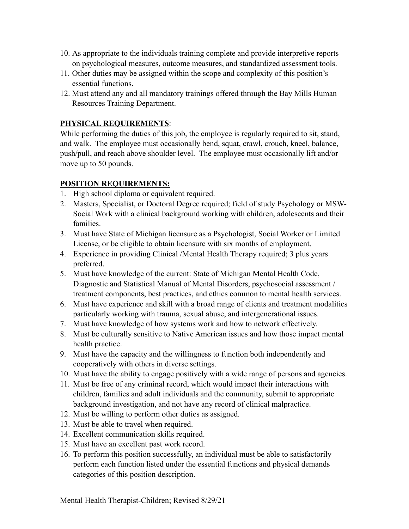- 10. As appropriate to the individuals training complete and provide interpretive reports on psychological measures, outcome measures, and standardized assessment tools.
- 11. Other duties may be assigned within the scope and complexity of this position's essential functions.
- 12. Must attend any and all mandatory trainings offered through the Bay Mills Human Resources Training Department.

# **PHYSICAL REQUIREMENTS**:

While performing the duties of this job, the employee is regularly required to sit, stand, and walk. The employee must occasionally bend, squat, crawl, crouch, kneel, balance, push/pull, and reach above shoulder level. The employee must occasionally lift and/or move up to 50 pounds.

## **POSITION REQUIREMENTS:**

- 1. High school diploma or equivalent required.
- 2. Masters, Specialist, or Doctoral Degree required; field of study Psychology or MSW-Social Work with a clinical background working with children, adolescents and their families.
- 3. Must have State of Michigan licensure as a Psychologist, Social Worker or Limited License, or be eligible to obtain licensure with six months of employment.
- 4. Experience in providing Clinical /Mental Health Therapy required; 3 plus years preferred.
- 5. Must have knowledge of the current: State of Michigan Mental Health Code, Diagnostic and Statistical Manual of Mental Disorders, psychosocial assessment / treatment components, best practices, and ethics common to mental health services.
- 6. Must have experience and skill with a broad range of clients and treatment modalities particularly working with trauma, sexual abuse, and intergenerational issues.
- 7. Must have knowledge of how systems work and how to network effectively.
- 8. Must be culturally sensitive to Native American issues and how those impact mental health practice.
- 9. Must have the capacity and the willingness to function both independently and cooperatively with others in diverse settings.
- 10. Must have the ability to engage positively with a wide range of persons and agencies.
- 11. Must be free of any criminal record, which would impact their interactions with children, families and adult individuals and the community, submit to appropriate background investigation, and not have any record of clinical malpractice.
- 12. Must be willing to perform other duties as assigned.
- 13. Must be able to travel when required.
- 14. Excellent communication skills required.
- 15. Must have an excellent past work record.
- 16. To perform this position successfully, an individual must be able to satisfactorily perform each function listed under the essential functions and physical demands categories of this position description.